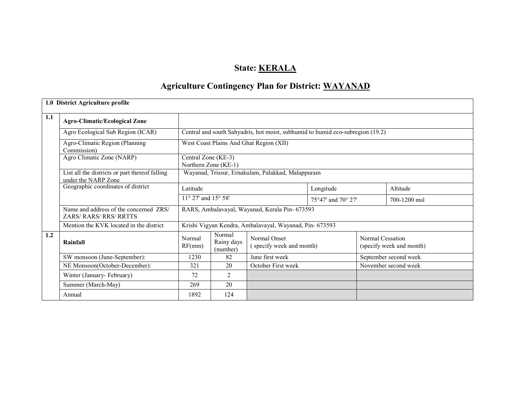# State: **KERALA**

# Agriculture Contingency Plan for District: WAYANAD

|     | 1.0 District Agriculture profile                                      |                                                |                                  |                                                                                |                                      |                      |                          |  |  |
|-----|-----------------------------------------------------------------------|------------------------------------------------|----------------------------------|--------------------------------------------------------------------------------|--------------------------------------|----------------------|--------------------------|--|--|
| 1.1 | <b>Agro-Climatic/Ecological Zone</b>                                  |                                                |                                  |                                                                                |                                      |                      |                          |  |  |
|     | Agro Ecological Sub Region (ICAR)                                     |                                                |                                  | Central and south Sahyadris, hot moist, subhumid to humid eco-subregion (19.2) |                                      |                      |                          |  |  |
|     | Agro-Climatic Region (Planning<br>Commission)                         |                                                |                                  | West Coast Plains And Ghat Region (XII)                                        |                                      |                      |                          |  |  |
|     | Agro Climatic Zone (NARP)                                             | Central Zone (KE-3)                            | Northern Zone (KE-1)             |                                                                                |                                      |                      |                          |  |  |
|     | List all the districts or part thereof falling<br>under the NARP Zone |                                                |                                  | Wayanad, Trissur, Ernakulam, Palakkad, Malappuram                              |                                      |                      |                          |  |  |
|     | Geographic coordinates of district                                    | Latitude                                       |                                  |                                                                                | Longitude                            |                      | Altitude                 |  |  |
|     |                                                                       | $11^{\circ}$ 27' and $15^{\circ}$ 58'          |                                  |                                                                                | $75^{\circ}47'$ and $70^{\circ} 27'$ |                      | 700-1200 msl             |  |  |
|     | Name and address of the concerned ZRS/<br><b>ZARS/RARS/RRS/RRTTS</b>  | RARS, Ambalavayal, Wayanad, Kerala Pin- 673593 |                                  |                                                                                |                                      |                      |                          |  |  |
|     | Mention the KVK located in the district                               |                                                |                                  | Krishi Vigyan Kendra, Ambalavayal, Wayanad, Pin- 673593                        |                                      |                      |                          |  |  |
| 1.2 | Rainfall                                                              | Normal<br>RF(mm)                               | Normal<br>Rainy days<br>(number) | Normal Onset<br>(specify week and month)                                       |                                      | Normal Cessation     | (specify week and month) |  |  |
|     | SW monsoon (June-September):                                          | 1230                                           | 82                               | June first week                                                                |                                      |                      | September second week    |  |  |
|     | NE Monsoon(October-December):                                         | 321<br>20                                      |                                  | October First week                                                             |                                      | November second week |                          |  |  |
|     | Winter (January-February)                                             | 72<br>$\overline{2}$                           |                                  |                                                                                |                                      |                      |                          |  |  |
|     | Summer (March-May)                                                    | 269                                            | 20                               |                                                                                |                                      |                      |                          |  |  |
|     | Annual                                                                | 1892                                           | 124                              |                                                                                |                                      |                      |                          |  |  |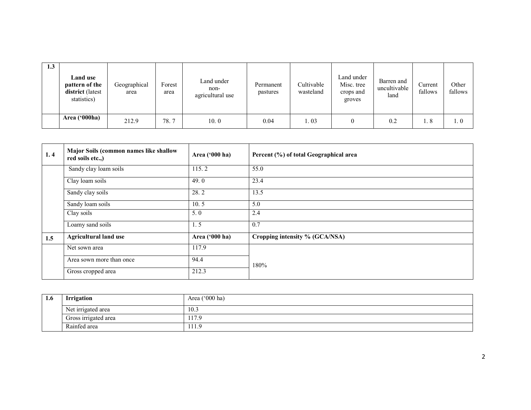| 1.3 | Land use<br>pattern of the<br>district (latest<br>statistics) | Geographical<br>area | Forest<br>area | Land under<br>non-<br>agricultural use | Permanent<br>pastures | Cultivable<br>wasteland | Land under<br>Misc. tree<br>crops and<br>groves | Barren and<br>uncultivable<br>land | Current<br>fallows | Other<br>fallows |
|-----|---------------------------------------------------------------|----------------------|----------------|----------------------------------------|-----------------------|-------------------------|-------------------------------------------------|------------------------------------|--------------------|------------------|
|     | <b>Area ('000ha)</b>                                          | 212.9                | 78.7           | 10.0                                   | 0.04                  | 1.03                    |                                                 | 0.2                                | 1.8                | $\ldots 0$       |

| 1.4 | Major Soils (common names like shallow<br>red soils etc.,) | Area ('000 ha) | Percent (%) of total Geographical area |  |  |
|-----|------------------------------------------------------------|----------------|----------------------------------------|--|--|
|     | Sandy clay loam soils                                      | 115.2          | 55.0                                   |  |  |
|     | Clay loam soils                                            | 49.0           | 23.4                                   |  |  |
|     | Sandy clay soils                                           | 28.2           | 13.5                                   |  |  |
|     | Sandy loam soils                                           | 10.5           | 5.0                                    |  |  |
|     | Clay soils                                                 | 5.0            | 2.4                                    |  |  |
|     | Loamy sand soils                                           | 1.5            | 0.7                                    |  |  |
| 1.5 | <b>Agricultural land use</b>                               | Area ('000 ha) | Cropping intensity % (GCA/NSA)         |  |  |
|     | Net sown area                                              | 117.9          |                                        |  |  |
|     | Area sown more than once                                   | 94.4           | 180%                                   |  |  |
|     | Gross cropped area                                         | 212.3          |                                        |  |  |

| 1.6 | <b>Irrigation</b>    | Area ('000 ha) |
|-----|----------------------|----------------|
|     | Net irrigated area   | 10.3           |
|     | Gross irrigated area | 117.9          |
|     | Rainfed area         | 111.9          |
|     |                      |                |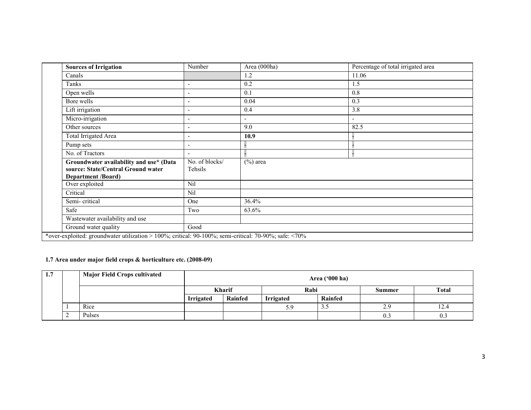| <b>Sources of Irrigation</b>                                                                               | Number                    | Area (000ha)             | Percentage of total irrigated area |  |  |
|------------------------------------------------------------------------------------------------------------|---------------------------|--------------------------|------------------------------------|--|--|
| Canals                                                                                                     |                           | 1.2                      | 11.06                              |  |  |
| Tanks                                                                                                      |                           | 0.2                      | 1.5                                |  |  |
| Open wells                                                                                                 |                           | 0.1                      | 0.8                                |  |  |
| Bore wells                                                                                                 | $\qquad \qquad -$         | 0.04                     | 0.3                                |  |  |
| Lift irrigation                                                                                            |                           | 0.4                      | 3.8                                |  |  |
| Micro-irrigation                                                                                           | $\overline{\phantom{0}}$  | $\overline{\phantom{a}}$ | $\overline{\phantom{0}}$           |  |  |
| Other sources                                                                                              | $\qquad \qquad -$         | 9.0                      | 82.5                               |  |  |
| Total Irrigated Area                                                                                       |                           | 10.9                     |                                    |  |  |
| Pump sets                                                                                                  | $\overline{\phantom{0}}$  |                          |                                    |  |  |
| No. of Tractors                                                                                            | $\qquad \qquad -$         |                          |                                    |  |  |
| Groundwater availability and use* (Data<br>source: State/Central Ground water<br><b>Department /Board)</b> | No. of blocks/<br>Tehsils | $(\%)$ area              |                                    |  |  |
| Over exploited                                                                                             | <b>Nil</b>                |                          |                                    |  |  |
| Critical                                                                                                   | Nil                       |                          |                                    |  |  |
| Semi-critical                                                                                              | One                       | 36.4%                    |                                    |  |  |
| Safe                                                                                                       | Two                       | 63.6%                    |                                    |  |  |
| Wastewater availability and use                                                                            |                           |                          |                                    |  |  |
| Ground water quality                                                                                       | Good                      |                          |                                    |  |  |
| *over-exploited: groundwater utilization > 100%; critical: 90-100%; semi-critical: 70-90%; safe: <70%      |                           |                          |                                    |  |  |

# 1.7 Area under major field crops & horticulture etc. (2008-09)

| 1.7 |   | <b>Major Field Crops cultivated</b> |                  | Area ('000 ha) |                  |         |        |              |  |  |  |
|-----|---|-------------------------------------|------------------|----------------|------------------|---------|--------|--------------|--|--|--|
|     |   |                                     | <b>Kharif</b>    |                | Rabi             |         | Summer | <b>Total</b> |  |  |  |
|     |   |                                     | <b>Irrigated</b> | Rainfed        | <b>Irrigated</b> | Rainfed |        |              |  |  |  |
|     |   | Rice                                |                  |                | 5.9              | ر. ر    | 2.9    | 12.4         |  |  |  |
|     | ∠ | Pulses                              |                  |                |                  |         | 0.3    | 0.3          |  |  |  |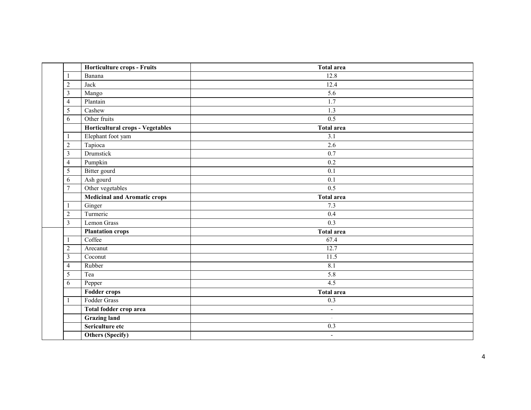|                | Horticulture crops - Fruits         | <b>Total area</b>        |  |  |  |  |  |
|----------------|-------------------------------------|--------------------------|--|--|--|--|--|
| 1              | Banana                              | 12.8                     |  |  |  |  |  |
| $\overline{2}$ | Jack                                | 12.4                     |  |  |  |  |  |
| $\mathfrak{Z}$ | Mango                               | 5.6                      |  |  |  |  |  |
| $\overline{4}$ | Plantain                            | 1.7                      |  |  |  |  |  |
| 5              | Cashew                              | 1.3                      |  |  |  |  |  |
| 6              | Other fruits                        | 0.5                      |  |  |  |  |  |
|                | Horticultural crops - Vegetables    | <b>Total area</b>        |  |  |  |  |  |
| $\mathbf{1}$   | Elephant foot yam                   | 3.1                      |  |  |  |  |  |
| $\sqrt{2}$     | Tapioca                             | 2.6                      |  |  |  |  |  |
| $\overline{3}$ | Drumstick                           | 0.7                      |  |  |  |  |  |
| $\overline{4}$ | Pumpkin                             | 0.2                      |  |  |  |  |  |
| 5              | Bitter gourd                        | 0.1                      |  |  |  |  |  |
| 6              | Ash gourd                           | 0.1                      |  |  |  |  |  |
| $\overline{7}$ | Other vegetables<br>0.5             |                          |  |  |  |  |  |
|                | <b>Medicinal and Aromatic crops</b> | <b>Total area</b>        |  |  |  |  |  |
| 1              | Ginger                              | 7.3                      |  |  |  |  |  |
| $\sqrt{2}$     | Turmeric                            | 0.4                      |  |  |  |  |  |
| $\overline{3}$ | Lemon Grass                         | 0.3                      |  |  |  |  |  |
|                | <b>Plantation crops</b>             | <b>Total area</b>        |  |  |  |  |  |
| $\mathbf{1}$   | Coffee                              | 67.4                     |  |  |  |  |  |
| $\sqrt{2}$     | Arecanut                            | 12.7                     |  |  |  |  |  |
| $\mathfrak{Z}$ | Coconut                             | 11.5                     |  |  |  |  |  |
| $\overline{4}$ | Rubber                              | 8.1                      |  |  |  |  |  |
| $\overline{5}$ | Tea                                 | 5.8                      |  |  |  |  |  |
| 6              | Pepper                              | 4.5                      |  |  |  |  |  |
|                | <b>Fodder crops</b>                 | <b>Total area</b>        |  |  |  |  |  |
| 1              | Fodder Grass                        | 0.3                      |  |  |  |  |  |
|                | Total fodder crop area              | $\blacksquare$           |  |  |  |  |  |
|                | <b>Grazing land</b>                 | $\overline{\phantom{a}}$ |  |  |  |  |  |
|                | Sericulture etc                     | 0.3                      |  |  |  |  |  |
|                | <b>Others (Specify)</b>             | $\overline{\phantom{a}}$ |  |  |  |  |  |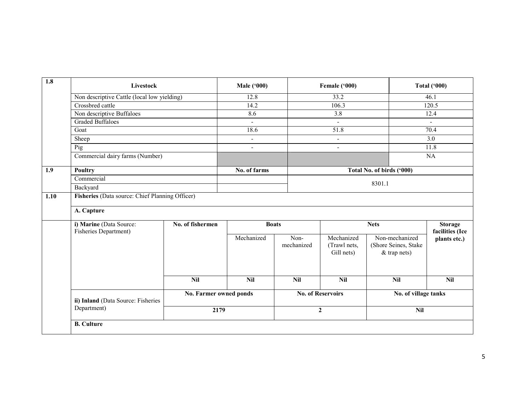| 1.8  | Livestock                                                                   |                  | <b>Male ('000)</b>       |                    | Female ('000)                            |                                                          | <b>Total ('000)</b>               |  |  |  |  |
|------|-----------------------------------------------------------------------------|------------------|--------------------------|--------------------|------------------------------------------|----------------------------------------------------------|-----------------------------------|--|--|--|--|
|      | Non descriptive Cattle (local low yielding)                                 |                  | 12.8                     |                    | 33.2                                     | 46.1                                                     |                                   |  |  |  |  |
|      | Crossbred cattle                                                            |                  | 14.2                     |                    | 106.3                                    |                                                          | 120.5                             |  |  |  |  |
|      | Non descriptive Buffaloes                                                   |                  | 8.6                      |                    | 3.8                                      |                                                          | 12.4                              |  |  |  |  |
|      | <b>Graded Buffaloes</b>                                                     |                  | $\blacksquare$           |                    | $\sim$                                   |                                                          | $\sim$                            |  |  |  |  |
|      | Goat                                                                        |                  | 18.6                     |                    | 51.8                                     |                                                          | 70.4                              |  |  |  |  |
|      | Sheep                                                                       |                  | $\overline{\phantom{a}}$ |                    | $\blacksquare$                           |                                                          | 3.0                               |  |  |  |  |
|      | $\overline{Pig}$                                                            |                  | $\Delta$                 |                    | $\overline{a}$                           |                                                          | 11.8                              |  |  |  |  |
|      | Commercial dairy farms (Number)                                             |                  |                          |                    |                                          |                                                          | NA                                |  |  |  |  |
| 1.9  | <b>Poultry</b>                                                              |                  | No. of farms             |                    |                                          | Total No. of birds ('000)                                |                                   |  |  |  |  |
|      | Commercial                                                                  |                  |                          |                    |                                          |                                                          |                                   |  |  |  |  |
|      | Backyard                                                                    |                  |                          |                    | 8301.1                                   |                                                          |                                   |  |  |  |  |
| 1.10 | Fisheries (Data source: Chief Planning Officer)                             |                  |                          |                    |                                          |                                                          |                                   |  |  |  |  |
|      |                                                                             |                  |                          |                    |                                          |                                                          |                                   |  |  |  |  |
|      | A. Capture                                                                  |                  |                          |                    |                                          |                                                          |                                   |  |  |  |  |
|      | i) Marine (Data Source:<br>Fisheries Department)                            | No. of fishermen |                          | <b>Boats</b>       |                                          | <b>Nets</b>                                              | <b>Storage</b><br>facilities (Ice |  |  |  |  |
|      |                                                                             |                  | Mechanized               | Non-<br>mechanized | Mechanized<br>(Trawl nets,<br>Gill nets) | Non-mechanized<br>(Shore Seines, Stake<br>$&$ trap nets) | plants etc.)                      |  |  |  |  |
|      |                                                                             | <b>Nil</b>       | <b>Nil</b>               | <b>Nil</b>         | <b>Nil</b>                               | <b>Nil</b>                                               | <b>Nil</b>                        |  |  |  |  |
|      | No. Farmer owned ponds<br>ii) Inland (Data Source: Fisheries<br>Department) |                  |                          |                    | <b>No. of Reservoirs</b>                 |                                                          | No. of village tanks              |  |  |  |  |
|      |                                                                             |                  | 2179                     |                    | $\overline{2}$                           | <b>Nil</b>                                               |                                   |  |  |  |  |
|      | <b>B.</b> Culture                                                           |                  |                          |                    |                                          |                                                          |                                   |  |  |  |  |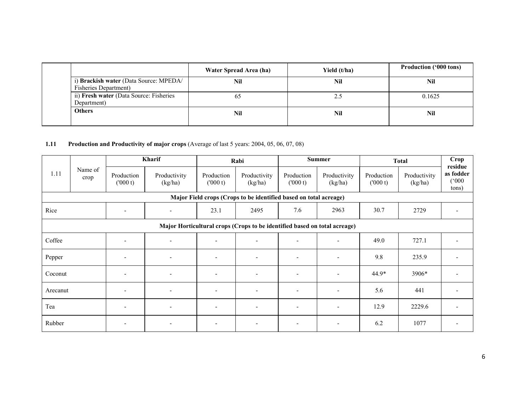|  |                                                                 | Water Spread Area (ha) | Yield (t/ha) | <b>Production ('000 tons)</b> |
|--|-----------------------------------------------------------------|------------------------|--------------|-------------------------------|
|  | i) Brackish water (Data Source: MPEDA/<br>Fisheries Department) | Nil                    | Nil          | Nil                           |
|  | ii) Fresh water (Data Source: Fisheries<br>Department)          | 65                     | 2.5          | 0.1625                        |
|  | <b>Others</b>                                                   | Nil                    | Nil          | Nil                           |

### 1.11 Production and Productivity of major crops (Average of last 5 years: 2004, 05, 06, 07, 08)

|                                                                           | Name of<br>crop | Kharif                   |                          |                              | Rabi                     | <b>Summer</b>            |                          | <b>Total</b>          |                         | Crop<br>residue                       |
|---------------------------------------------------------------------------|-----------------|--------------------------|--------------------------|------------------------------|--------------------------|--------------------------|--------------------------|-----------------------|-------------------------|---------------------------------------|
| 1.11                                                                      |                 | Production<br>(000 t)    | Productivity<br>(kg/ha)  | Production<br>(000 t)        | Productivity<br>(kg/ha)  | Production<br>(000 t)    | Productivity<br>(kg/ha)  | Production<br>(000 t) | Productivity<br>(kg/ha) | as fodder<br>$(000^{\circ})$<br>tons) |
| Major Field crops (Crops to be identified based on total acreage)         |                 |                          |                          |                              |                          |                          |                          |                       |                         |                                       |
| Rice                                                                      |                 |                          | $\overline{\phantom{a}}$ | 23.1                         | 2495                     | 7.6                      | 2963                     | 30.7                  | 2729                    |                                       |
| Major Horticultural crops (Crops to be identified based on total acreage) |                 |                          |                          |                              |                          |                          |                          |                       |                         |                                       |
| Coffee                                                                    |                 | $\overline{\phantom{a}}$ | $\blacksquare$           |                              | $\sim$                   | $\overline{\phantom{a}}$ | ٠                        | 49.0                  | 727.1                   |                                       |
| Pepper                                                                    |                 | $\overline{\phantom{a}}$ | $\overline{\phantom{a}}$ | $\overline{\phantom{a}}$     | $\overline{\phantom{a}}$ | $\overline{\phantom{a}}$ | $\blacksquare$           | 9.8                   | 235.9                   |                                       |
| Coconut                                                                   |                 | $\overline{\phantom{a}}$ | $\overline{\phantom{a}}$ | $\qquad \qquad \blacksquare$ | $\overline{\phantom{a}}$ | $\overline{\phantom{a}}$ | $\overline{\phantom{0}}$ | 44.9*                 | 3906*                   |                                       |
| Arecanut                                                                  |                 | $\overline{\phantom{a}}$ | $\overline{\phantom{a}}$ | $\overline{\phantom{a}}$     | $\overline{\phantom{a}}$ | $\overline{\phantom{a}}$ | $\blacksquare$           | 5.6                   | 441                     |                                       |
| Tea                                                                       |                 | $\overline{\phantom{a}}$ | $\overline{\phantom{a}}$ | $\overline{\phantom{a}}$     | $\overline{\phantom{a}}$ | $\overline{\phantom{a}}$ | $\overline{\phantom{a}}$ | 12.9                  | 2229.6                  |                                       |
| Rubber                                                                    |                 |                          | $\overline{\phantom{a}}$ |                              |                          | $\overline{\phantom{a}}$ |                          | 6.2                   | 1077                    |                                       |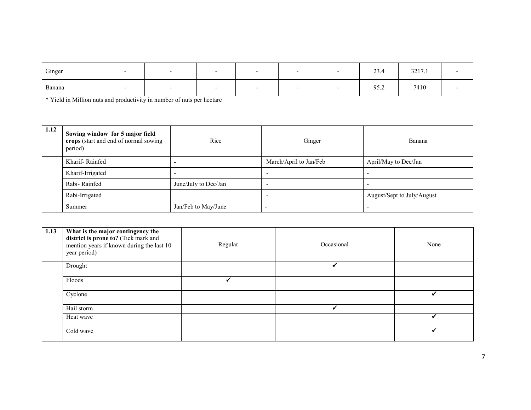| Ginger |  | - |  | 23.4 | 3217.1 |  |
|--------|--|---|--|------|--------|--|
| Banana |  |   |  | 95.2 | 7410   |  |

\* Yield in Million nuts and productivity in number of nuts per hectare

| 1.12 | Sowing window for 5 major field<br>crops (start and end of normal sowing<br>period) | Rice                 | Ginger                 | Banana                     |  |
|------|-------------------------------------------------------------------------------------|----------------------|------------------------|----------------------------|--|
|      | Kharif-Rainfed                                                                      |                      | March/April to Jan/Feb | April/May to Dec/Jan       |  |
|      | Kharif-Irrigated                                                                    |                      |                        |                            |  |
|      | Rabi-Rainfed                                                                        | June/July to Dec/Jan |                        |                            |  |
|      | Rabi-Irrigated                                                                      |                      |                        | August/Sept to July/August |  |
|      | Summer                                                                              | Jan/Feb to May/June  |                        |                            |  |

| 1.13 | What is the major contingency the<br>district is prone to? (Tick mark and<br>mention years if known during the last 10<br>year period) | Regular | Occasional | None |
|------|----------------------------------------------------------------------------------------------------------------------------------------|---------|------------|------|
|      | Drought                                                                                                                                |         |            |      |
|      | Floods                                                                                                                                 |         |            |      |
|      | Cyclone                                                                                                                                |         |            |      |
|      | Hail storm                                                                                                                             |         |            |      |
|      | Heat wave                                                                                                                              |         |            |      |
|      | Cold wave                                                                                                                              |         |            |      |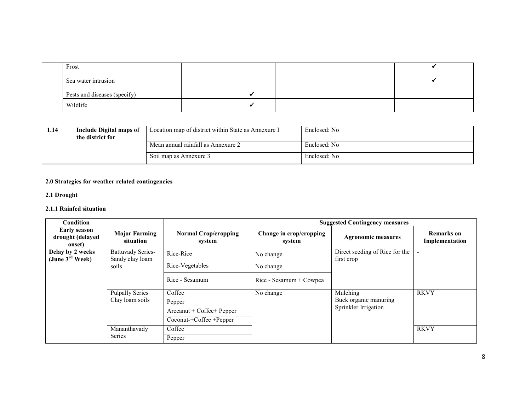| Frost                        |  |  |
|------------------------------|--|--|
| Sea water intrusion          |  |  |
| Pests and diseases (specify) |  |  |
| Wildlife                     |  |  |

| 1.14 | Include Digital maps of<br>the district for | Location map of district within State as Annexure I | Enclosed: No |
|------|---------------------------------------------|-----------------------------------------------------|--------------|
|      |                                             | Mean annual rainfall as Annexure 2                  | Enclosed: No |
|      |                                             | Soil map as Annexure 3                              | Enclosed: No |

# 2.0 Strategies for weather related contingencies

#### 2.1 Drought

#### 2.1.1 Rainfed situation

| <b>Condition</b>                                  |                                             |                                       |                                   | <b>Suggested Contingency measures</b>         |                                     |
|---------------------------------------------------|---------------------------------------------|---------------------------------------|-----------------------------------|-----------------------------------------------|-------------------------------------|
| <b>Early season</b><br>drought (delayed<br>onset) | <b>Major Farming</b><br>situation           | <b>Normal Crop/cropping</b><br>system | Change in crop/cropping<br>system | <b>Agronomic measures</b>                     | <b>Remarks</b> on<br>Implementation |
| Delay by 2 weeks<br>(June $3^{\text{rd}}$ Week)   | <b>Battuvady Series-</b><br>Sandy clay loam | Rice-Rice                             | No change                         | Direct seeding of Rice for the<br>first crop  |                                     |
| soils                                             |                                             | Rice-Vegetables                       | No change                         |                                               |                                     |
|                                                   |                                             | Rice - Sesamum                        | Rice - Sesamum + Cowpea           |                                               |                                     |
|                                                   | <b>Pulpally Series</b>                      | Coffee                                | No change                         | Mulching                                      | <b>RKVY</b>                         |
|                                                   | Clay loam soils                             | Pepper                                |                                   | Buck organic manuring<br>Sprinkler Irrigation |                                     |
|                                                   |                                             | Arecanut + Coffee+ Pepper             |                                   |                                               |                                     |
|                                                   |                                             | Coconut-+Coffee +Pepper               |                                   |                                               |                                     |
|                                                   | Mananthavady                                | Coffee                                |                                   |                                               | <b>RKVY</b>                         |
|                                                   | Series                                      | Pepper                                |                                   |                                               |                                     |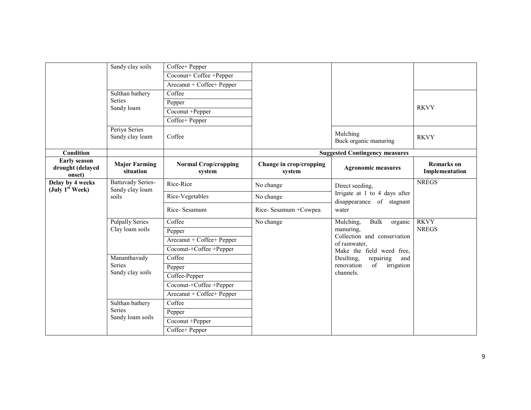|                                                   | Sandy clay soils                                     | Coffee+ Pepper                        |                                   |                                                                               |                                     |
|---------------------------------------------------|------------------------------------------------------|---------------------------------------|-----------------------------------|-------------------------------------------------------------------------------|-------------------------------------|
|                                                   |                                                      | Coconut+ Coffee +Pepper               |                                   |                                                                               |                                     |
|                                                   |                                                      | Arecanut + Coffee+ Pepper             |                                   |                                                                               |                                     |
|                                                   | Sulthan bathery                                      | Coffee                                |                                   |                                                                               |                                     |
|                                                   | Series<br>Sandy loam                                 | Pepper                                |                                   |                                                                               |                                     |
|                                                   |                                                      | $\overline{Coconut + Pepper}$         |                                   |                                                                               | <b>RKVY</b>                         |
|                                                   |                                                      | Coffee+ Pepper                        |                                   |                                                                               |                                     |
|                                                   | Periya Series<br>Sandy clay loam                     | Coffee                                |                                   | Mulching<br>Buck organic manuring                                             | <b>RKVY</b>                         |
| Condition                                         |                                                      |                                       |                                   | <b>Suggested Contingency measures</b>                                         |                                     |
| <b>Early season</b><br>drought (delayed<br>onset) | <b>Major Farming</b><br>situation                    | <b>Normal Crop/cropping</b><br>system | Change in crop/cropping<br>system | <b>Agronomic measures</b>                                                     | <b>Remarks</b> on<br>Implementation |
| Delay by 4 weeks                                  | <b>Battuvady Series-</b><br>Sandy clay loam<br>soils | Rice-Rice                             | No change                         | Direct seeding,<br>Irrigate at 1 to 4 days after<br>disappearance of stagnant | <b>NREGS</b>                        |
| (July 1 <sup>st</sup> Week)                       |                                                      | Rice-Vegetables                       | No change                         |                                                                               |                                     |
|                                                   |                                                      |                                       |                                   |                                                                               |                                     |
|                                                   |                                                      | Rice-Sesamum                          | Rice-Sesamum + Cowpea             | water                                                                         |                                     |
|                                                   | <b>Pulpally Series</b>                               | Coffee                                | No change                         | Mulching,<br>Bulk<br>organic                                                  | <b>RKVY</b>                         |
|                                                   | Clay loam soils                                      | Pepper                                |                                   | manuring,<br>Collection and conservation<br>of rainwater,                     | <b>NREGS</b>                        |
|                                                   |                                                      | Arecanut + Coffee+ Pepper             |                                   |                                                                               |                                     |
|                                                   |                                                      | Coconut-+Coffee +Pepper               |                                   | Make the field weed free,                                                     |                                     |
|                                                   | Mananthavady                                         | Coffee                                |                                   | Desilting,<br>repairing<br>and                                                |                                     |
|                                                   | Series<br>Sandy clay soils                           | Pepper                                |                                   | renovation<br>of<br>irrigation<br>channels.                                   |                                     |
|                                                   |                                                      | Coffee-Pepper                         |                                   |                                                                               |                                     |
|                                                   |                                                      | $Coconut + Coffee + Pepper$           |                                   |                                                                               |                                     |
|                                                   |                                                      | Arecanut + Coffee+ Pepper             |                                   |                                                                               |                                     |
|                                                   | Sulthan bathery                                      | Coffee                                |                                   |                                                                               |                                     |
|                                                   | Series<br>Sandy loam soils                           | Pepper                                |                                   |                                                                               |                                     |
|                                                   |                                                      | $\overline{Co\text{conut}}$ +Pepper   |                                   |                                                                               |                                     |
|                                                   |                                                      | Coffee+ Pepper                        |                                   |                                                                               |                                     |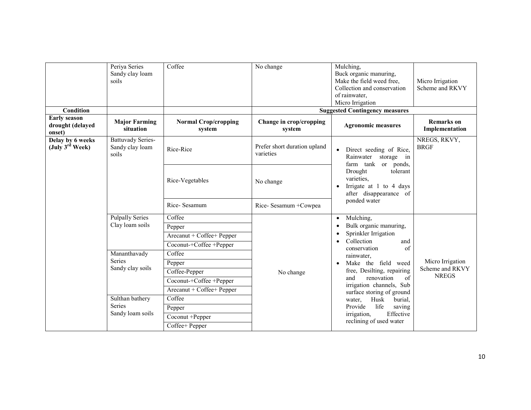| <b>Condition</b>                                  | Periya Series<br>Sandy clay loam<br>soils                                                                                                                                                                                             | Coffee                                                                             | No change                         | Mulching,<br>Buck organic manuring,<br>Make the field weed free,<br>Collection and conservation<br>of rainwater,<br>Micro Irrigation<br><b>Suggested Contingency measures</b>                                                                                                                                                                                                                                                                                                                                                    | Micro Irrigation<br>Scheme and RKVY                 |
|---------------------------------------------------|---------------------------------------------------------------------------------------------------------------------------------------------------------------------------------------------------------------------------------------|------------------------------------------------------------------------------------|-----------------------------------|----------------------------------------------------------------------------------------------------------------------------------------------------------------------------------------------------------------------------------------------------------------------------------------------------------------------------------------------------------------------------------------------------------------------------------------------------------------------------------------------------------------------------------|-----------------------------------------------------|
| <b>Early season</b><br>drought (delayed<br>onset) | <b>Major Farming</b><br>situation                                                                                                                                                                                                     | <b>Normal Crop/cropping</b><br>system                                              | Change in crop/cropping<br>system | <b>Agronomic measures</b>                                                                                                                                                                                                                                                                                                                                                                                                                                                                                                        | <b>Remarks</b> on<br>Implementation                 |
| Delay by 6 weeks<br>(July $3^{\text{rd}}$ Week)   | <b>Battuvady Series-</b><br>Prefer short duration upland<br>Sandy clay loam<br>Rice-Rice<br>$\bullet$<br>varieties<br>soils<br>Rainwater<br>farm tank or ponds,<br>Drought<br>varieties,<br>Rice-Vegetables<br>No change<br>$\bullet$ | Direct seeding of Rice,<br>storage in                                              | NREGS, RKVY,<br><b>BRGF</b>       |                                                                                                                                                                                                                                                                                                                                                                                                                                                                                                                                  |                                                     |
|                                                   |                                                                                                                                                                                                                                       |                                                                                    |                                   | tolerant<br>Irrigate at 1 to 4 days<br>after disappearance of<br>ponded water<br>Mulching,<br>$\bullet$<br>Bulk organic manuring,<br>$\bullet$<br>Sprinkler Irrigation<br>$\bullet$<br>Collection<br>and<br>$\bullet$<br>of<br>conservation<br>rainwater,<br>Make the field weed<br>$\bullet$<br>free, Desilting, repairing<br>renovation<br>of<br>and<br>irrigation channels, Sub<br>surface storing of ground<br>Husk<br>burial,<br>water.<br>Provide<br>life<br>saving<br>Effective<br>irrigation,<br>reclining of used water |                                                     |
|                                                   |                                                                                                                                                                                                                                       | Rice-Sesamum                                                                       | Rice-Sesamum + Cowpea             |                                                                                                                                                                                                                                                                                                                                                                                                                                                                                                                                  |                                                     |
|                                                   | <b>Pulpally Series</b><br>Clay loam soils<br>Mananthavady<br><b>Series</b><br>Sandy clay soils<br>Sulthan bathery<br><b>Series</b><br>Sandy loam soils                                                                                | Coffee<br>Pepper<br>Arecanut + Coffee+ Pepper<br>Coconut-+Coffee +Pepper<br>Coffee | No change                         |                                                                                                                                                                                                                                                                                                                                                                                                                                                                                                                                  |                                                     |
|                                                   |                                                                                                                                                                                                                                       | Pepper<br>Coffee-Pepper<br>Coconut-+Coffee +Pepper<br>Arecanut + Coffee+ Pepper    |                                   |                                                                                                                                                                                                                                                                                                                                                                                                                                                                                                                                  | Micro Irrigation<br>Scheme and RKVY<br><b>NREGS</b> |
|                                                   |                                                                                                                                                                                                                                       | Coffee<br>Pepper<br>Coconut +Pepper<br>Coffee+ Pepper                              |                                   |                                                                                                                                                                                                                                                                                                                                                                                                                                                                                                                                  |                                                     |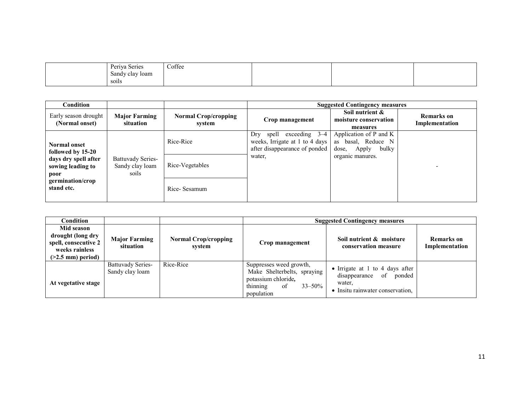| Periya<br><b>Nariac</b><br><b>DATIO</b><br>. | Coffee<br>$    -$ |  |  |
|----------------------------------------------|-------------------|--|--|
| Sandy clay Ioam                              |                   |  |  |
| $\ddot{\phantom{0}}$<br>soils                |                   |  |  |

| Condition                                                                              |                                                      |                                       |                                                                                                           | <b>Suggested Contingency measures</b>                                                          |                              |
|----------------------------------------------------------------------------------------|------------------------------------------------------|---------------------------------------|-----------------------------------------------------------------------------------------------------------|------------------------------------------------------------------------------------------------|------------------------------|
| Early season drought<br>(Normal onset)                                                 | <b>Major Farming</b><br>situation                    | <b>Normal Crop/cropping</b><br>svstem | Crop management                                                                                           | Soil nutrient &<br>moisture conservation<br>measures                                           | Remarks on<br>Implementation |
| Normal onset<br>followed by 15-20<br>days dry spell after<br>sowing leading to<br>poor | <b>Battuvady Series-</b><br>Sandy clay loam<br>soils | Rice-Rice<br>Rice-Vegetables          | spell exceeding $3-4$<br>Dry<br>weeks, Irrigate at 1 to 4 days<br>after disappearance of ponded<br>water. | Application of P and K<br>basal, Reduce N<br>as<br>bulky<br>dose,<br>Apply<br>organic manures. |                              |
| germination/crop<br>stand etc.                                                         |                                                      | Rice-Sesamum                          |                                                                                                           |                                                                                                |                              |

| Condition                                                                                        |                                             |                                       |                                                                                                                              | <b>Suggested Contingency measures</b>                                                                        |                                     |
|--------------------------------------------------------------------------------------------------|---------------------------------------------|---------------------------------------|------------------------------------------------------------------------------------------------------------------------------|--------------------------------------------------------------------------------------------------------------|-------------------------------------|
| Mid season<br>drought (long dry<br>spell, consecutive 2<br>weeks rainless<br>$(>2.5$ mm) period) | <b>Major Farming</b><br>situation           | <b>Normal Crop/cropping</b><br>svstem | Crop management                                                                                                              | Soil nutrient & moisture<br>conservation measure                                                             | <b>Remarks</b> on<br>Implementation |
| At vegetative stage                                                                              | <b>Battuvady Series-</b><br>Sandy clay loam | Rice-Rice                             | Suppresses weed growth,<br>Make Shelterbelts, spraying<br>potassium chloride,<br>thinning<br>$33 - 50\%$<br>of<br>population | • Irrigate at 1 to 4 days after<br>disappearance<br>of<br>ponded<br>water.<br>Insitu rainwater conservation. |                                     |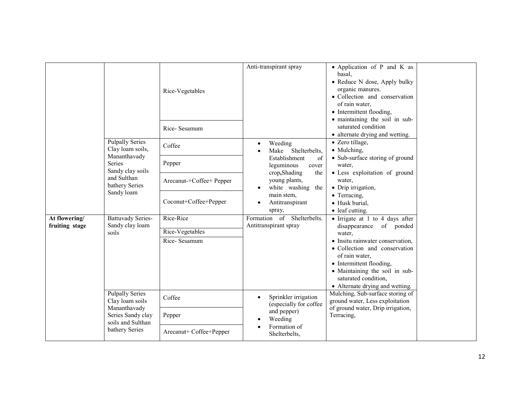|                                 |                                                                                                                                         | Rice-Vegetables                              | Anti-transpirant spray                                                                                                                              | • Application of P and K as<br>basal,<br>• Reduce N dose, Apply bulky<br>organic manures.<br>• Collection and conservation<br>of rain water,<br>• Intermittent flooding,<br>· maintaining the soil in sub- |  |
|---------------------------------|-----------------------------------------------------------------------------------------------------------------------------------------|----------------------------------------------|-----------------------------------------------------------------------------------------------------------------------------------------------------|------------------------------------------------------------------------------------------------------------------------------------------------------------------------------------------------------------|--|
|                                 |                                                                                                                                         | Rice-Sesamum                                 |                                                                                                                                                     | saturated condition<br>• alternate drying and wetting.                                                                                                                                                     |  |
|                                 | <b>Pulpally Series</b><br>Clay loam soils,<br>Mananthavady<br>Series<br>Sandy clay soils<br>and Sulthan<br>bathery Series<br>Sandy loam | Coffee                                       | Weeding<br>$\bullet$<br>Shelterbelts,<br>Make                                                                                                       | • Zero tillage,<br>• Mulching,<br>• Sub-surface storing of ground<br>water,<br>• Less exploitation of ground<br>water,<br>• Drip irrigation,<br>• Terracing,<br>· Husk burial,<br>$\bullet$ leaf cutting.  |  |
|                                 |                                                                                                                                         | Pepper                                       | Establishment<br>of<br>leguminous<br>cover<br>crop, Shading<br>the<br>young plants,<br>white washing the<br>main stem,<br>Antitranspirant<br>spray, |                                                                                                                                                                                                            |  |
|                                 |                                                                                                                                         | Arecanut-+Coffee+ Pepper                     |                                                                                                                                                     |                                                                                                                                                                                                            |  |
|                                 |                                                                                                                                         | Coconut+Coffee+Pepper                        |                                                                                                                                                     |                                                                                                                                                                                                            |  |
| At flowering/<br>fruiting stage | <b>Battuvady Series-</b><br>Sandy clay loam<br>soils                                                                                    | Rice-Rice<br>Rice-Vegetables<br>Rice-Sesamum | Formation of Shelterbelts.<br>Antitranspirant spray                                                                                                 | • Irrigate at 1 to 4 days after<br>disappearance<br>of ponded<br>water.<br>• Insitu rainwater conservation,                                                                                                |  |
|                                 |                                                                                                                                         |                                              |                                                                                                                                                     | · Collection and conservation<br>of rain water,<br>• Intermittent flooding,<br>• Maintaining the soil in sub-<br>saturated condition,<br>• Alternate drying and wetting.                                   |  |
|                                 | <b>Pulpally Series</b><br>Clay loam soils<br>Mananthavady<br>Series Sandy clay<br>soils and Sulthan<br>bathery Series                   | Coffee                                       | Sprinkler irrigation<br>$\bullet$<br>(especially for coffee                                                                                         | Mulching, Sub-surface storing of<br>ground water, Less exploitation<br>of ground water, Drip irrigation,                                                                                                   |  |
|                                 |                                                                                                                                         | Pepper                                       | and pepper)<br>Weeding                                                                                                                              | Terracing,                                                                                                                                                                                                 |  |
|                                 |                                                                                                                                         | Arecanut+ Coffee+Pepper                      | Formation of<br>Shelterbelts,                                                                                                                       |                                                                                                                                                                                                            |  |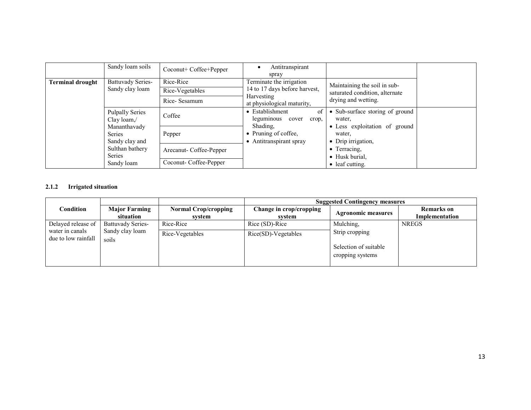|                                                              | Sandy loam soils                            | Coconut+ Coffee+Pepper                       | Antitranspirant<br>spray                                                                                                                        |                                                                                       |                               |
|--------------------------------------------------------------|---------------------------------------------|----------------------------------------------|-------------------------------------------------------------------------------------------------------------------------------------------------|---------------------------------------------------------------------------------------|-------------------------------|
| Terminal drought                                             | <b>Battuvady Series-</b><br>Sandy clay loam | Rice-Rice<br>Rice-Vegetables<br>Rice-Sesamum | Terminate the irrigation<br>14 to 17 days before harvest,<br><b>Harvesting</b>                                                                  | Maintaining the soil in sub-<br>saturated condition, alternate<br>drying and wetting. |                               |
|                                                              | <b>Pulpally Series</b><br>Clay $\gamma$     | Coffee                                       | at physiological maturity,<br>• Establishment<br>of<br>leguminous cover<br>crop,<br>Shading,<br>• Pruning of coffee,<br>• Antitranspirant spray | • Sub-surface storing of ground<br>water.                                             |                               |
| Mananthavady<br><b>Series</b><br><b>Series</b><br>Sandy loam | Sandy clay and                              | Pepper                                       |                                                                                                                                                 | water.<br>• Drip irrigation,                                                          | • Less exploitation of ground |
|                                                              |                                             | Arecanut-Coffee-Pepper                       |                                                                                                                                                 | • Terracing,<br>• Husk burial,                                                        |                               |
|                                                              | Sulthan bathery<br>Coconut- Coffee-Pepper   |                                              |                                                                                                                                                 | • leaf cutting.                                                                       |                               |

#### 2.1.2 Irrigated situation

|                                        |                                   |                                       | <b>Suggested Contingency measures</b> |                                                             |                                     |  |
|----------------------------------------|-----------------------------------|---------------------------------------|---------------------------------------|-------------------------------------------------------------|-------------------------------------|--|
| Condition                              | <b>Major Farming</b><br>situation | <b>Normal Crop/cropping</b><br>system | Change in crop/cropping<br>system     | <b>Agronomic measures</b>                                   | <b>Remarks</b> on<br>Implementation |  |
| Delayed release of                     | <b>Battuvady Series-</b>          | Rice-Rice                             | Rice (SD)-Rice                        | Mulching,                                                   | <b>NREGS</b>                        |  |
| water in canals<br>due to low rainfall | Sandy clay loam<br>soils          | Rice-Vegetables                       | $Rice(SD)-Vegetables$                 | Strip cropping<br>Selection of suitable<br>cropping systems |                                     |  |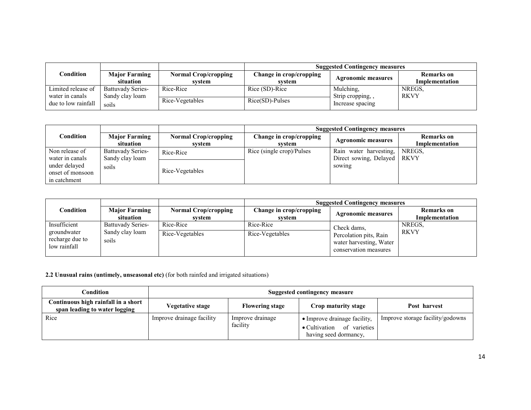|                                       |                                             |                                       | <b>Suggested Contingency measures</b> |                                |                                     |  |
|---------------------------------------|---------------------------------------------|---------------------------------------|---------------------------------------|--------------------------------|-------------------------------------|--|
| $\mathop{\mathsf{Condition}}$         | <b>Major Farming</b><br>situation           | <b>Normal Crop/cropping</b><br>svstem | Change in crop/cropping<br>system     | <b>Agronomic measures</b>      | <b>Remarks</b> on<br>Implementation |  |
| Limited release of<br>water in canals | <b>Battuvady Series-</b><br>Sandy clay loam | Rice-Rice                             | Rice (SD)-Rice                        | Mulching.<br>Strip cropping, , | NREGS.<br><b>RKVY</b>               |  |
| due to low rainfall                   | soils                                       | Rice-Vegetables                       | Rice(SD)-Pulses                       | Increase spacing               |                                     |  |

|                                                                                        |                                                      |                                       | <b>Suggested Contingency measures</b> |                                                                   |                                     |  |
|----------------------------------------------------------------------------------------|------------------------------------------------------|---------------------------------------|---------------------------------------|-------------------------------------------------------------------|-------------------------------------|--|
| $\complement$ ondition                                                                 | <b>Major Farming</b><br>situation                    | <b>Normal Crop/cropping</b><br>svstem | Change in crop/cropping<br>svstem     | <b>Agronomic measures</b>                                         | <b>Remarks</b> on<br>Implementation |  |
| Non release of<br>water in canals<br>under delayed<br>onset of monsoon<br>in catchment | <b>Battuvady Series-</b><br>Sandy clay loam<br>soils | Rice-Rice<br>Rice-Vegetables          | Rice (single crop)/Pulses             | Rain water harvesting,<br>Direct sowing, Delayed   RKVY<br>sowing | NREGS.                              |  |

|                                                                |                                                      |                                       | <b>Suggested Contingency measures</b> |                                                                                           |                                     |  |
|----------------------------------------------------------------|------------------------------------------------------|---------------------------------------|---------------------------------------|-------------------------------------------------------------------------------------------|-------------------------------------|--|
| Condition                                                      | <b>Major Farming</b><br>situation                    | <b>Normal Crop/cropping</b><br>system | Change in crop/cropping<br>system     | <b>Agronomic measures</b>                                                                 | <b>Remarks</b> on<br>Implementation |  |
| Insufficient<br>groundwater<br>recharge due to<br>low rainfall | <b>Battuvady Series-</b><br>Sandy clay loam<br>soils | Rice-Rice<br>Rice-Vegetables          | Rice-Rice<br>Rice-Vegetables          | Check dams,<br>Percolation pits, Rain<br>water harvesting, Water<br>conservation measures | NREGS.<br><b>RKVY</b>               |  |

2.2 Unusual rains (untimely, unseasonal etc) (for both rainfed and irrigated situations)

| Condition                                                            | Suggested contingency measure |                        |                                                                |                                  |  |
|----------------------------------------------------------------------|-------------------------------|------------------------|----------------------------------------------------------------|----------------------------------|--|
| Continuous high rainfall in a short<br>span leading to water logging | Vegetative stage              | <b>Flowering stage</b> | Crop maturity stage                                            | Post harvest                     |  |
| Rice                                                                 | Improve drainage facility     | Improve drainage       | • Improve drainage facility,                                   | Improve storage facility/godowns |  |
|                                                                      |                               | facility               | of varieties<br>$\bullet$ Cultivation<br>having seed dormancy, |                                  |  |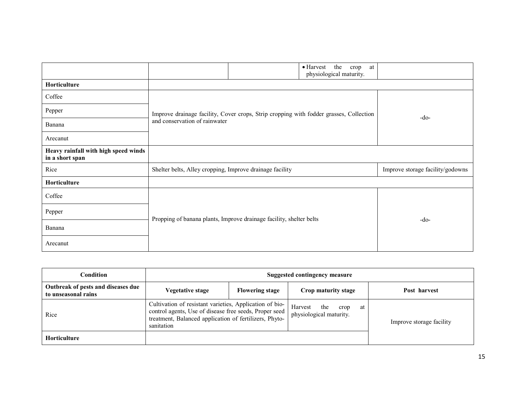|                                                         | $\bullet$ Harvest<br>the<br>at<br>crop<br>physiological maturity.                      |                                  |  |
|---------------------------------------------------------|----------------------------------------------------------------------------------------|----------------------------------|--|
| Horticulture                                            |                                                                                        |                                  |  |
| Coffee                                                  |                                                                                        |                                  |  |
| Pepper                                                  | Improve drainage facility, Cover crops, Strip cropping with fodder grasses, Collection | $-do-$                           |  |
| Banana                                                  | and conservation of rainwater                                                          |                                  |  |
| Arecanut                                                |                                                                                        |                                  |  |
| Heavy rainfall with high speed winds<br>in a short span |                                                                                        |                                  |  |
| Rice                                                    | Shelter belts, Alley cropping, Improve drainage facility                               | Improve storage facility/godowns |  |
| Horticulture                                            |                                                                                        |                                  |  |
| Coffee                                                  |                                                                                        |                                  |  |
| Pepper                                                  |                                                                                        |                                  |  |
| Banana                                                  | Propping of banana plants, Improve drainage facility, shelter belts                    | $-do-$                           |  |
| Arecanut                                                |                                                                                        |                                  |  |

| Condition                                                 | <b>Suggested contingency measure</b>                                                                                                                                                      |                        |                                                         |                          |  |  |
|-----------------------------------------------------------|-------------------------------------------------------------------------------------------------------------------------------------------------------------------------------------------|------------------------|---------------------------------------------------------|--------------------------|--|--|
| Outbreak of pests and diseases due<br>to unseasonal rains | Vegetative stage                                                                                                                                                                          | <b>Flowering stage</b> | Crop maturity stage                                     | Post harvest             |  |  |
| Rice                                                      | Cultivation of resistant varieties, Application of bio-<br>control agents, Use of disease free seeds, Proper seed<br>treatment, Balanced application of fertilizers, Phyto-<br>sanitation |                        | Harvest<br>the<br>crop<br>at<br>physiological maturity. | Improve storage facility |  |  |
| <b>Horticulture</b>                                       |                                                                                                                                                                                           |                        |                                                         |                          |  |  |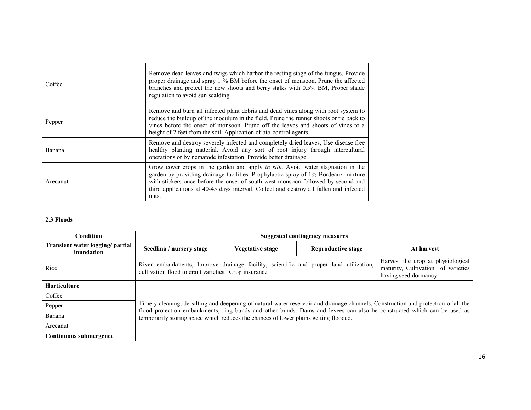| Coffee   | Remove dead leaves and twigs which harbor the resting stage of the fungus, Provide<br>proper drainage and spray 1 % BM before the onset of monsoon, Prune the affected<br>branches and protect the new shoots and berry stalks with 0.5% BM, Proper shade<br>regulation to avoid sun scalding.                                                                       |
|----------|----------------------------------------------------------------------------------------------------------------------------------------------------------------------------------------------------------------------------------------------------------------------------------------------------------------------------------------------------------------------|
| Pepper   | Remove and burn all infected plant debris and dead vines along with root system to<br>reduce the buildup of the inoculum in the field. Prune the runner shoots or tie back to<br>vines before the onset of monsoon. Prune off the leaves and shoots of vines to a<br>height of 2 feet from the soil. Application of bio-control agents.                              |
| Banana   | Remove and destroy severely infected and completely dried leaves, Use disease free<br>healthy planting material. Avoid any sort of root injury through intercultural<br>operations or by nematode infestation, Provide better drainage                                                                                                                               |
| Arecanut | Grow cover crops in the garden and apply <i>in situ</i> . Avoid water stagnation in the<br>garden by providing drainage facilities. Prophylactic spray of 1% Bordeaux mixture<br>with stickers once before the onset of south west monsoon followed by second and<br>third applications at 40-45 days interval. Collect and destroy all fallen and infected<br>nuts. |

# 2.3 Floods

| <b>Condition</b>                               | <b>Suggested contingency measures</b>                                                                                                                                                                                                                                                                                                                |                  |                           |                                                                                                 |  |
|------------------------------------------------|------------------------------------------------------------------------------------------------------------------------------------------------------------------------------------------------------------------------------------------------------------------------------------------------------------------------------------------------------|------------------|---------------------------|-------------------------------------------------------------------------------------------------|--|
| Transient water logging/ partial<br>inundation | Seedling / nursery stage                                                                                                                                                                                                                                                                                                                             | Vegetative stage | <b>Reproductive stage</b> | At harvest                                                                                      |  |
| Rice                                           | River embankments, Improve drainage facility, scientific and proper land utilization,<br>cultivation flood tolerant varieties, Crop insurance                                                                                                                                                                                                        |                  |                           | Harvest the crop at physiological<br>maturity, Cultivation of varieties<br>having seed dormancy |  |
| <b>Horticulture</b>                            |                                                                                                                                                                                                                                                                                                                                                      |                  |                           |                                                                                                 |  |
| Coffee                                         |                                                                                                                                                                                                                                                                                                                                                      |                  |                           |                                                                                                 |  |
| Pepper                                         | Timely cleaning, de-silting and deepening of natural water reservoir and drainage channels, Construction and protection of all the<br>flood protection embankments, ring bunds and other bunds. Dams and levees can also be constructed which can be used as<br>temporarily storing space which reduces the chances of lower plains getting flooded. |                  |                           |                                                                                                 |  |
| Banana                                         |                                                                                                                                                                                                                                                                                                                                                      |                  |                           |                                                                                                 |  |
| Arecanut                                       |                                                                                                                                                                                                                                                                                                                                                      |                  |                           |                                                                                                 |  |
| Continuous submergence                         |                                                                                                                                                                                                                                                                                                                                                      |                  |                           |                                                                                                 |  |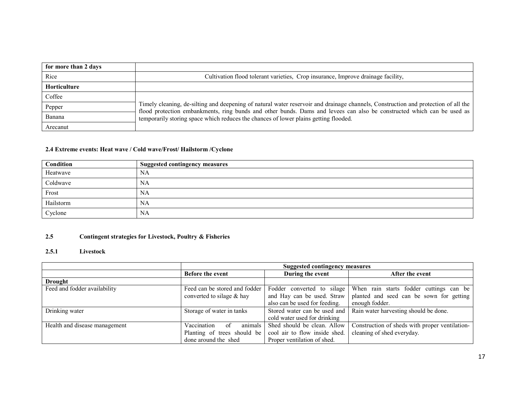| for more than 2 days |                                                                                                                                                                                                                                                              |
|----------------------|--------------------------------------------------------------------------------------------------------------------------------------------------------------------------------------------------------------------------------------------------------------|
| Rice                 | Cultivation flood tolerant varieties, Crop insurance, Improve drainage facility,                                                                                                                                                                             |
| <b>Horticulture</b>  |                                                                                                                                                                                                                                                              |
| Coffee               |                                                                                                                                                                                                                                                              |
| Pepper               | Timely cleaning, de-silting and deepening of natural water reservoir and drainage channels, Construction and protection of all the<br>flood protection embankments, ring bunds and other bunds. Dams and levees can also be constructed which can be used as |
| Banana               | temporarily storing space which reduces the chances of lower plains getting flooded.                                                                                                                                                                         |
| Arecanut             |                                                                                                                                                                                                                                                              |

#### 2.4 Extreme events: Heat wave / Cold wave/Frost/ Hailstorm /Cyclone

| Condition | <b>Suggested contingency measures</b> |
|-----------|---------------------------------------|
| Heatwave  | NA                                    |
| Coldwave  | <b>NA</b>                             |
| Frost     | <b>NA</b>                             |
| Hailstorm | NA                                    |
| Cyclone   | NA                                    |

#### 2.5Contingent strategies for Livestock, Poultry & Fisheries

### 2.5.1 Livestock

|                               | <b>Suggested contingency measures</b> |                               |                                                |  |  |
|-------------------------------|---------------------------------------|-------------------------------|------------------------------------------------|--|--|
|                               | <b>Before the event</b>               | During the event              | After the event                                |  |  |
| <b>Drought</b>                |                                       |                               |                                                |  |  |
| Feed and fodder availability  | Feed can be stored and fodder         | Fodder converted to silage    | When rain starts fodder cuttings can be        |  |  |
|                               | converted to silage & hay             | and Hay can be used. Straw    | planted and seed can be sown for getting       |  |  |
|                               |                                       | also can be used for feeding. | enough fodder.                                 |  |  |
| Drinking water                | Storage of water in tanks             | Stored water can be used and  | Rain water harvesting should be done.          |  |  |
|                               |                                       | cold water used for drinking  |                                                |  |  |
| Health and disease management | Vaccination<br>animals<br>of          | Shed should be clean. Allow   | Construction of sheds with proper ventilation- |  |  |
|                               | Planting of trees should be           | cool air to flow inside shed. | cleaning of shed everyday.                     |  |  |
|                               | done around the shed                  | Proper ventilation of shed.   |                                                |  |  |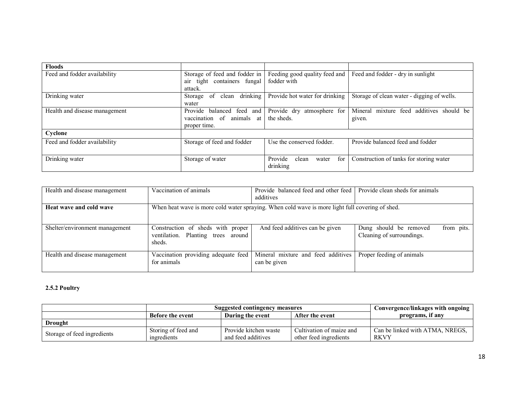| <b>Floods</b>                 |                                 |                                  |                                             |
|-------------------------------|---------------------------------|----------------------------------|---------------------------------------------|
| Feed and fodder availability  | Storage of feed and fodder in   | Feeding good quality feed and    | Feed and fodder - dry in sunlight           |
|                               | tight containers fungal<br>air  | fodder with                      |                                             |
|                               | attack.                         |                                  |                                             |
| Drinking water                | drinking<br>of clean<br>Storage | Provide hot water for drinking   | Storage of clean water - digging of wells.  |
|                               | water                           |                                  |                                             |
| Health and disease management | Provide balanced feed and       | Provide dry<br>atmosphere for    | mixture feed additives should be<br>Mineral |
|                               | vaccination<br>of animals at    | the sheds.                       | given.                                      |
|                               | proper time.                    |                                  |                                             |
| Cyclone                       |                                 |                                  |                                             |
| Feed and fodder availability  | Storage of feed and fodder      | Use the conserved fodder.        | Provide balanced feed and fodder            |
|                               |                                 |                                  |                                             |
| Drinking water                | Storage of water                | Provide<br>for<br>clean<br>water | Construction of tanks for storing water     |
|                               |                                 | drinking                         |                                             |

| Health and disease management  | Vaccination of animals                                                                          | Provide balanced feed and other feed Provide clean sheds for animals<br>additives |                                                                   |  |  |  |
|--------------------------------|-------------------------------------------------------------------------------------------------|-----------------------------------------------------------------------------------|-------------------------------------------------------------------|--|--|--|
| Heat wave and cold wave        | When heat wave is more cold water spraying. When cold wave is more light full covering of shed. |                                                                                   |                                                                   |  |  |  |
| Shelter/environment management | Construction of sheds with proper<br>ventilation. Planting trees around<br>sheds.               | And feed additives can be given                                                   | Dung should be removed<br>from pits.<br>Cleaning of surroundings. |  |  |  |
| Health and disease management  | Vaccination providing adequate feed<br>for animals                                              | Mineral mixture and feed additives<br>can be given                                | Proper feeding of animals                                         |  |  |  |

# 2.5.2 Poultry

|                             | Convergence/linkages with ongoing  |                                             |                                                    |                                                |
|-----------------------------|------------------------------------|---------------------------------------------|----------------------------------------------------|------------------------------------------------|
|                             | <b>Before the event</b>            | During the event                            | After the event                                    | programs, if any                               |
| <b>Drought</b>              |                                    |                                             |                                                    |                                                |
| Storage of feed ingredients | Storing of feed and<br>ingredients | Provide kitchen waste<br>and feed additives | Cultivation of maize and<br>other feed ingredients | Can be linked with ATMA, NREGS.<br><b>RKVY</b> |